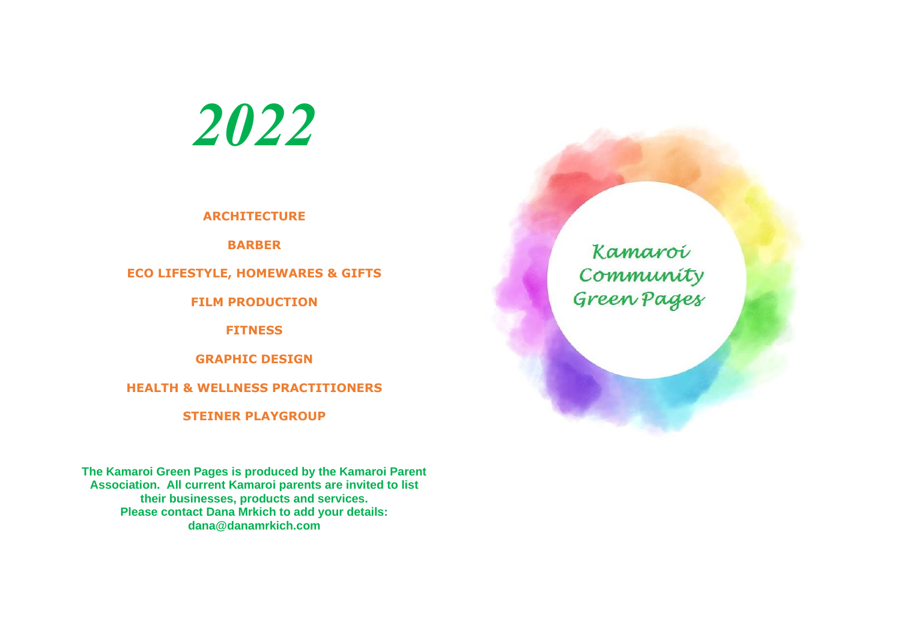*2022*

**ARCHITECTURE** 

**BARBER**

**ECO LIFESTYLE, HOMEWARES & GIFTS**

**FILM PRODUCTION**

**FITNESS**

**GRAPHIC DESIGN**

**HEALTH & WELLNESS PRACTITIONERS**

**STEINER PLAYGROUP**

**The Kamaroi Green Pages is produced by the Kamaroi Parent Association. All current Kamaroi parents are invited to list their businesses, products and services. Please contact Dana Mrkich to add your details: dana@danamrkich.com**

Kamaroi Community<br>Green Pages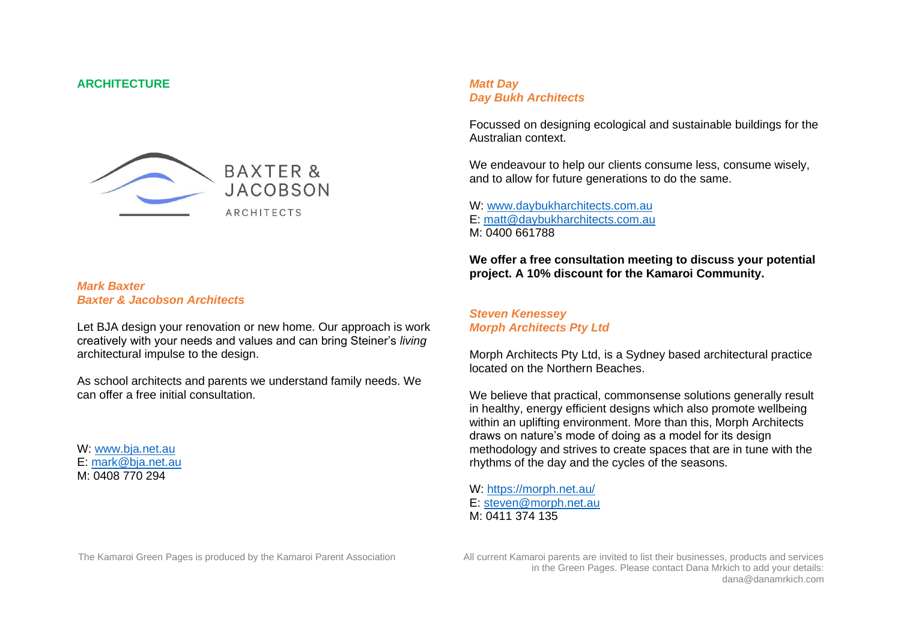#### **ARCHITECTURE**



#### *Mark Baxter Baxter & Jacobson Architects*

Let BJA design your renovation or new home. Our approach is work creatively with your needs and values and can bring Steiner's *living* architectural impulse to the design.

As school architects and parents we understand family needs. We can offer a free initial consultation.

W: [www.bja.net.au](http://www.bja.net.au/) E: [mark@bja.net.au](mailto:mark@bja.net.au) M: 0408 770 294

### *Matt Day Day Bukh Architects*

Focussed on designing ecological and sustainable buildings for the Australian context.

We endeavour to help our clients consume less, consume wisely, and to allow for future generations to do the same.

W: [www.daybukharchitects.com.au](http://www.daybukharchitects.com.au/) E: [matt@daybukharchitects.com.au](mailto:matt@daybukharchitects.com.au) M: 0400 661788

**We offer a free consultation meeting to discuss your potential project. A 10% discount for the Kamaroi Community.**

#### *Steven Kenessey Morph Architects Pty Ltd*

Morph Architects Pty Ltd, is a Sydney based architectural practice located on the Northern Beaches.

We believe that practical, commonsense solutions generally result in healthy, energy efficient designs which also promote wellbeing within an uplifting environment. More than this, Morph Architects draws on nature's mode of doing as a model for its design methodology and strives to create spaces that are in tune with the rhythms of the day and the cycles of the seasons.

W:<https://morph.net.au/> E: [steven@morph.net.au](mailto:steven@morph.net.au) M: 0411 374 135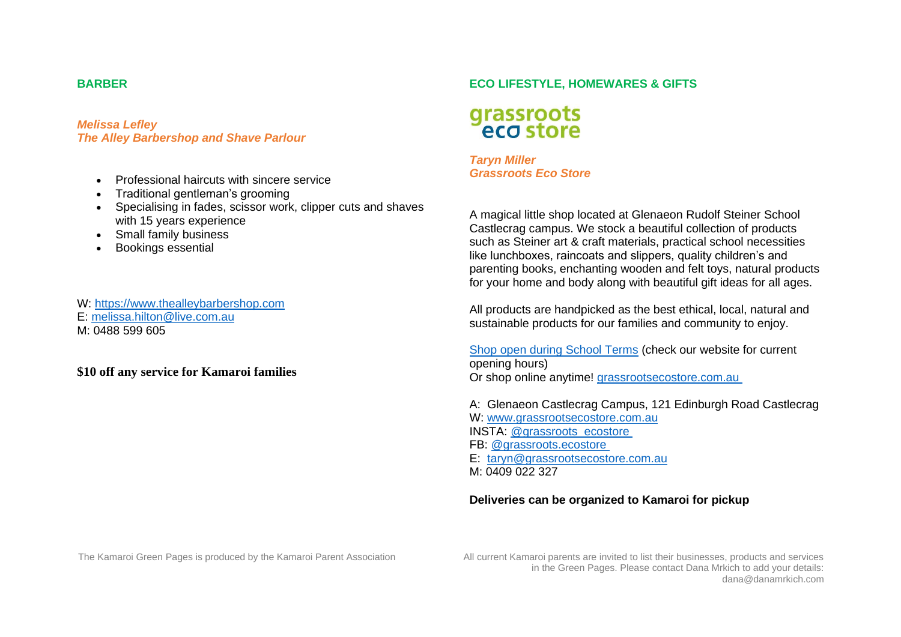### **BARBER**

*Melissa Lefley The Alley Barbershop and Shave Parlour*

- Professional haircuts with sincere service
- Traditional gentleman's grooming
- Specialising in fades, scissor work, clipper cuts and shaves with 15 years experience
- Small family business
- Bookings essential

#### W: [https://www.thealleybarbershop.com](https://www.thealleybarbershop.com/)

- E: [melissa.hilton@live.com.au](mailto:melissa.hilton@live.com.au)
- M: 0488 599 605

# **\$10 off any service for Kamaroi families**

# **ECO LIFESTYLE, HOMEWARES & GIFTS**

# grassroots<br>eco store

*Taryn Miller Grassroots Eco Store*

A magical little shop located at Glenaeon Rudolf Steiner School Castlecrag campus. We stock a beautiful collection of products such as Steiner art & craft materials, practical school necessities like lunchboxes, raincoats and slippers, quality children's and parenting books, enchanting wooden and felt toys, natural products for your home and body along with beautiful gift ideas for all ages.

All products are handpicked as the best ethical, local, natural and sustainable products for our families and community to enjoy.

[Shop open during School Terms](https://grassrootsecostore.com.au/pages/store-opening-hours) (check our website for current opening hours) Or shop online anytime! [grassrootsecostore.com.au](https://grassrootsecostore.com.au/)

A: Glenaeon Castlecrag Campus, 121 Edinburgh Road Castlecrag W: [www.grassrootsecostore.com.au](http://www.grassrootsecostore.com.au/) INSTA: [@grassroots\\_ecostore](https://www.instagram.com/grassroots_ecostore) FB: [@grassroots.ecostore](http://www.facebook.com/grassroots.ecostore)

- E: [taryn@grassrootsecostore.com.au](mailto:taryn@grassrootsecostore.com.au)
- M: 0409 022 327

# **Deliveries can be organized to Kamaroi for pickup**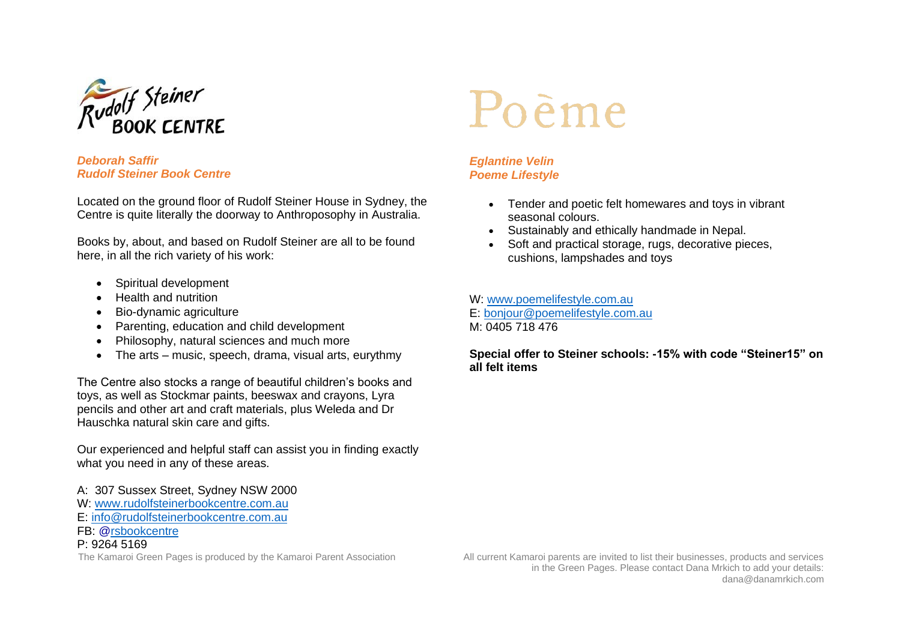

### *Deborah Saffir Rudolf Steiner Book Centre*

Located on the ground floor of Rudolf Steiner House in Sydney, the Centre is quite literally the doorway to Anthroposophy in Australia.

Books by, about, and based on Rudolf Steiner are all to be found here, in all the rich variety of his work:

- Spiritual development
- Health and nutrition
- Bio-dynamic agriculture
- Parenting, education and child development
- Philosophy, natural sciences and much more
- The arts music, speech, drama, visual arts, eurythmy

The Centre also stocks a range of beautiful children's books and toys, as well as Stockmar paints, beeswax and crayons, Lyra pencils and other art and craft materials, plus Weleda and Dr Hauschka natural skin care and gifts.

Our experienced and helpful staff can assist you in finding exactly what you need in any of these areas.

- A: 307 Sussex Street, Sydney NSW 2000
- W: [www.rudolfsteinerbookcentre.com.au](http://www.rudolfsteinerbookcentre.com.au/)
- E: [info@rudolfsteinerbookcentre.com.au](mailto:info@rudolfsteinerbookcentre.com.au)
- FB: [@rsbookcentre](http://www.facebook.com/rsbookcentre)

# P: 9264 5169

# Poème

# *Eglantine Velin Poeme Lifestyle*

- Tender and poetic felt homewares and toys in vibrant seasonal colours.
- Sustainably and ethically handmade in Nepal.
- Soft and practical storage, rugs, decorative pieces, cushions, lampshades and toys

# W: [www.poemelifestyle.com.au](http://www.poemelifestyle.com.au/)

E: [bonjour@poemelifestyle.com.au](mailto:bonjour@poemelifestyle.com.au)

M: 0405 718 476

# **Special offer to Steiner schools: -15% with code "Steiner15" on all felt items**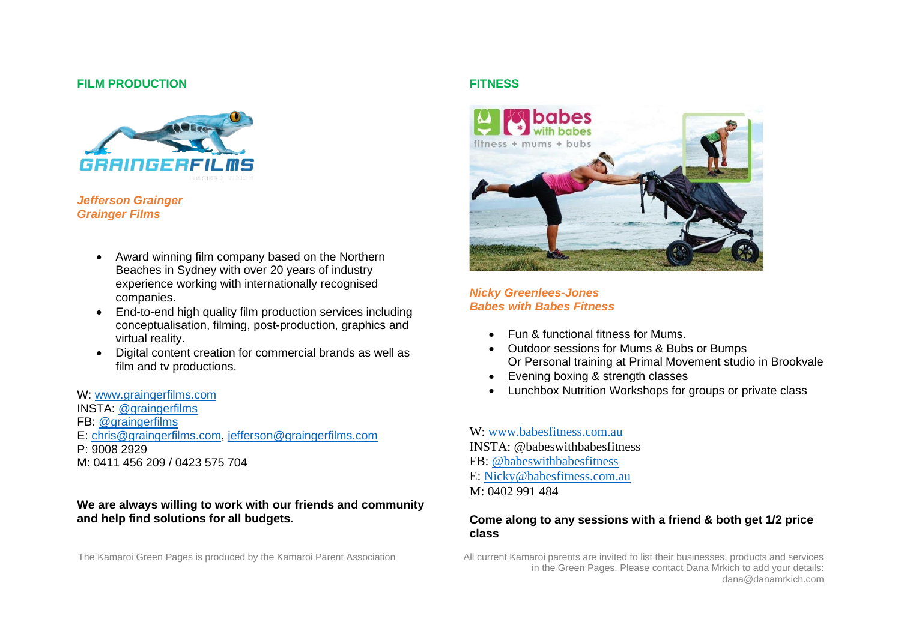#### **FILM PRODUCTION**



#### *Jefferson Grainger Grainger Films*

- Award winning film company based on the Northern Beaches in Sydney with over 20 years of industry experience working with internationally recognised companies.
- End-to-end high quality film production services including conceptualisation, filming, post-production, graphics and virtual reality.
- Digital content creation for commercial brands as well as film and tv productions.

W: [www.graingerfilms.com](http://www.graingerfilms.com/) INSTA: [@graingerfilms](http://www.instagram.com/graingerfilms) FB: [@graingerfilms](http://www.facebook.com/graingerfilms) E: [chris@graingerfilms.com,](mailto:chris@graingerfilms.com) [jefferson@graingerfilms.com](mailto:jefferson@graingerfilms.com) P: 9008 2929 M: 0411 456 209 / 0423 575 704

#### **We are always willing to work with our friends and community and help find solutions for all budgets.**

# **FITNESS**



### *Nicky Greenlees-Jones Babes with Babes Fitness*

- Fun & functional fitness for Mums.
- Outdoor sessions for Mums & Bubs or Bumps Or Personal training at Primal Movement studio in Brookvale
- Evening boxing & strength classes
- Lunchbox Nutrition Workshops for groups or private class

W: [www.babesfitness.com.au](http://www.babesfitness.com.au/) INSTA: @babeswithbabesfitness FB: [@babeswithbabesfitness](https://www.facebook.com/BabeswithBabesFitness/) E: [Nicky@babesfitness.com.au](mailto:Nicky@babesfitness.com.au) M: 0402 991 484

# **Come along to any sessions with a friend & both get 1/2 price class**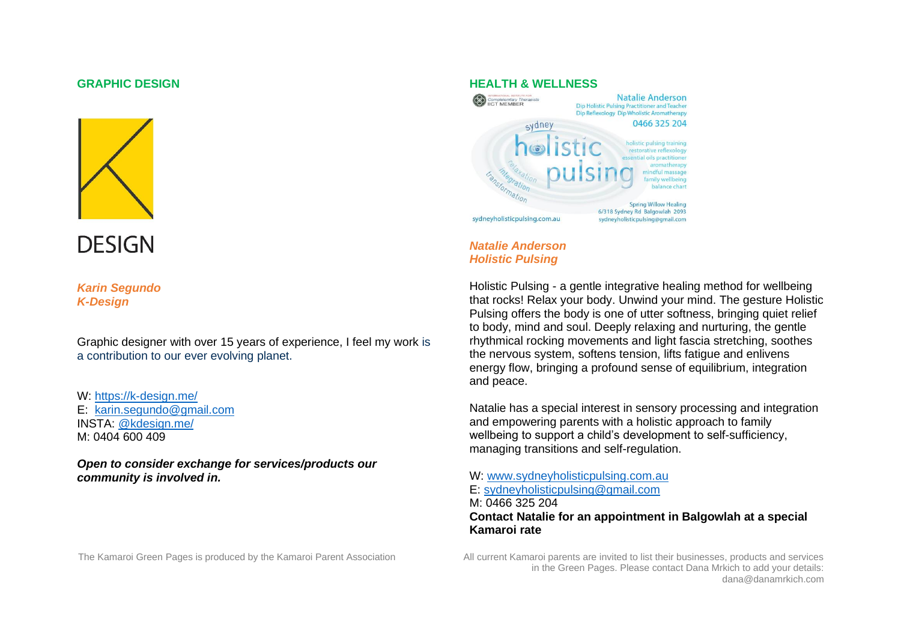#### **GRAPHIC DESIGN**



**DESIGN** 

*Karin Segundo K-Design*

Graphic designer with over 15 years of experience, I feel my work is a contribution to our ever evolving planet.

W:<https://k-design.me/> E: [karin.segundo@gmail.com](mailto:karin.segundo@gmail.com) INSTA: [@kdesign.me/](https://www.instagram.com/kdesign.me/) M: 0404 600 409

*Open to consider exchange for services/products our community is involved in.*



#### *Natalie Anderson Holistic Pulsing*

Holistic Pulsing - a gentle integrative healing method for wellbeing that rocks! Relax your body. Unwind your mind. The gesture Holistic Pulsing offers the body is one of utter softness, bringing quiet relief to body, mind and soul. Deeply relaxing and nurturing, the gentle rhythmical rocking movements and light fascia stretching, soothes the nervous system, softens tension, lifts fatigue and enlivens energy flow, bringing a profound sense of equilibrium, integration and peace.

Natalie has a special interest in sensory processing and integration and empowering parents with a holistic approach to family wellbeing to support a child's development to self-sufficiency, managing transitions and self-regulation.

W: [www.sydneyholisticpulsing.com.au](http://www.sydneyholisticpulsing.com.au/) E: [sydneyholisticpulsing@gmail.com](mailto:sydneyholisticpulsing@gmail.com) M: 0466 325 204 **Contact Natalie for an appointment in Balgowlah at a special Kamaroi rate**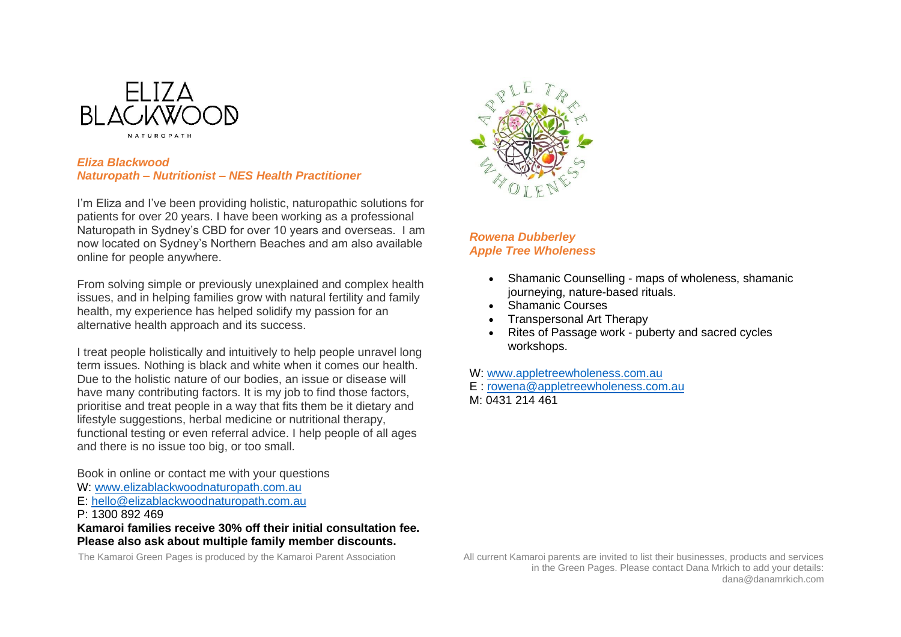

#### *Eliza Blackwood Naturopath – Nutritionist – NES Health Practitioner*

I'm Eliza and I've been providing holistic, naturopathic solutions for patients for over 20 years. I have been working as a professional Naturopath in Sydney's CBD for over 10 years and overseas. I am now located on Sydney's Northern Beaches and am also available online for people anywhere.

From solving simple or previously unexplained and complex health issues, and in helping families grow with natural fertility and family health, my experience has helped solidify my passion for an alternative health approach and its success.

I treat people holistically and intuitively to help people unravel long term issues. Nothing is black and white when it comes our health. Due to the holistic nature of our bodies, an issue or disease will have many contributing factors. It is my job to find those factors, prioritise and treat people in a way that fits them be it dietary and lifestyle suggestions, herbal medicine or nutritional therapy, functional testing or even referral advice. I help people of all ages and there is no issue too big, or too small.

Book in online or contact me with your questions

- W: [www.elizablackwoodnaturopath.com.au](http://www.elizablackwoodnaturopath.com.au/)
- E: [hello@elizablackwoodnaturopath.com.au](mailto:hello@elizablackwoodnaturopath.com.au)
- P: 1300 892 469

**Kamaroi families receive 30% off their initial consultation fee. Please also ask about multiple family member discounts.**



# *Rowena Dubberley Apple Tree Wholeness*

- Shamanic Counselling maps of wholeness, shamanic journeying, nature-based rituals.
- Shamanic Courses
- Transpersonal Art Therapy
- Rites of Passage work puberty and sacred cycles workshops.
- W: [www.appletreewholeness.com.au](http://www.appletreewholeness.com.au/)
- E : [rowena@appletreewholeness.com.au](mailto:rowena@appletreewholeness.com.au)

M: 0431 214 461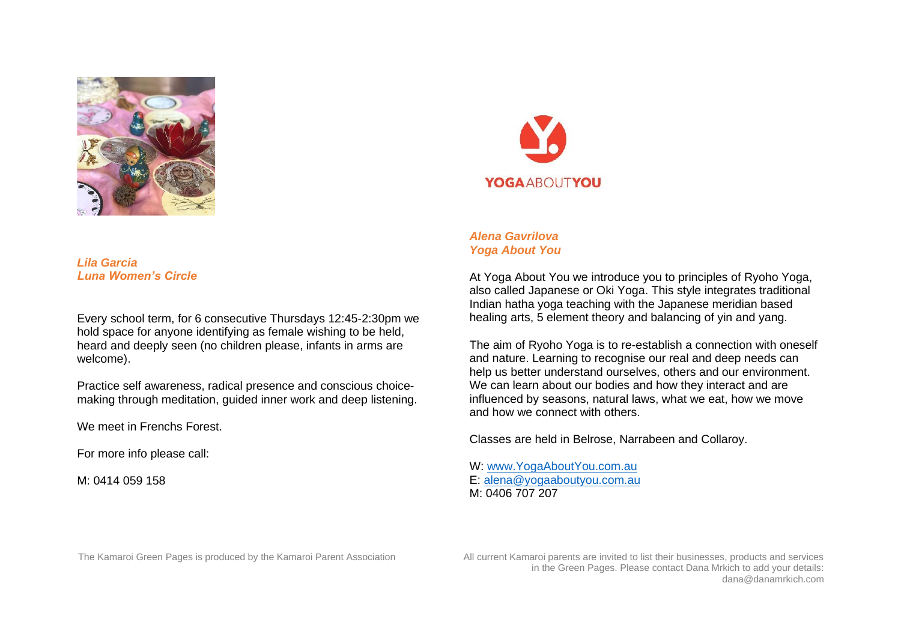

*Lila Garcia Luna Women's Circle*

Every school term, for 6 consecutive Thursdays 12:45-2:30pm we hold space for anyone identifying as female wishing to be held, heard and deeply seen (no children please, infants in arms are welcome).

Practice self awareness, radical presence and conscious choicemaking through meditation, guided inner work and deep listening.

We meet in Frenchs Forest.

For more info please call:

M: 0414 059 158



# *Alena Gavrilova Yoga About You*

At Yoga About You we introduce you to principles of Ryoho Yoga, also called Japanese or Oki Yoga. This style integrates traditional Indian hatha yoga teaching with the Japanese meridian based healing arts, 5 element theory and balancing of yin and yang.

The aim of Ryoho Yoga is to re-establish a connection with oneself and nature. Learning to recognise our real and deep needs can help us better understand ourselves, others and our environment. We can learn about our bodies and how they interact and are influenced by seasons, natural laws, what we eat, how we move and how we connect with others.

Classes are held in Belrose, Narrabeen and Collaroy.

W: [www.YogaAboutYou.com.au](http://www.yogaaboutyou.com.au/) E: [alena@yogaaboutyou.com.au](mailto:alena@yogaaboutyou.com.au) M: 0406 707 207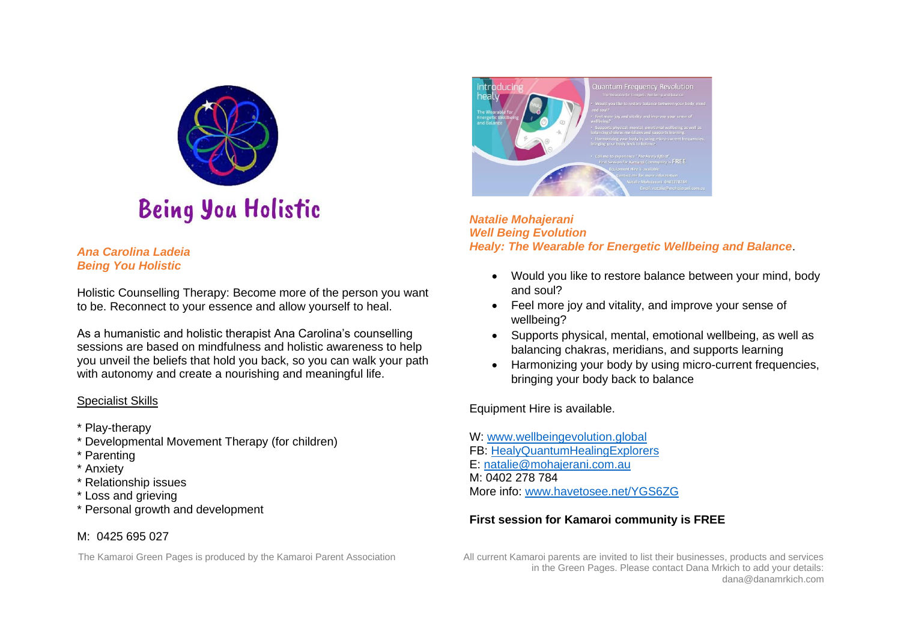

### *Ana Carolina Ladeia Being You Holistic*

Holistic Counselling Therapy: Become more of the person you want to be. Reconnect to your essence and allow yourself to heal.

As a humanistic and holistic therapist Ana Carolina's counselling sessions are based on mindfulness and holistic awareness to help you unveil the beliefs that hold you back, so you can walk your path with autonomy and create a nourishing and meaningful life.

# Specialist Skills

- \* Play-therapy
- \* Developmental Movement Therapy (for children)
- \* Parenting
- \* Anxiety
- \* Relationship issues
- \* Loss and grieving
- \* Personal growth and development

# M: 0425 695 027



*Natalie Mohajerani Well Being Evolution Healy: The Wearable for Energetic Wellbeing and Balance*.

- Would you like to restore balance between your mind, body and soul?
- Feel more joy and vitality, and improve your sense of wellbeing?
- Supports physical, mental, emotional wellbeing, as well as balancing chakras, meridians, and supports learning
- Harmonizing your body by using micro-current frequencies, bringing your body back to balance

Equipment Hire is available.

W: [www.wellbeingevolution.global](http://www.wellbeingevolution.global/) FB: [HealyQuantumHealingExplorers](https://www.facebook.com/groups/healy.quantum.healing/) E: [natalie@mohajerani.com.au](mailto:natalie@mohajerani.com.au) M: 0402 278 784 More info: [www.havetosee.net/YGS6ZG](http://www.havetosee.net/YGS6ZG)

# **First session for Kamaroi community is FREE**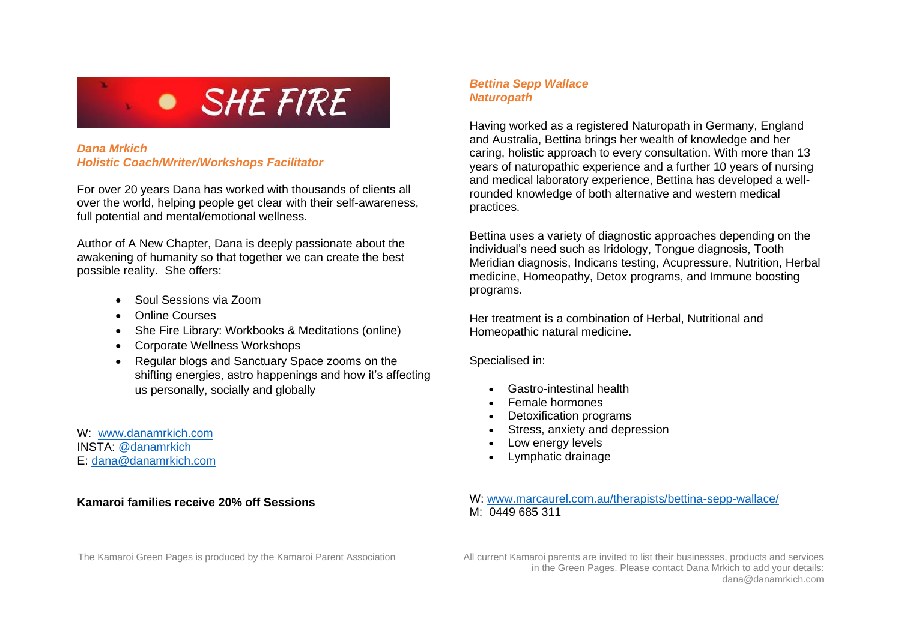

# *Dana Mrkich Holistic Coach/Writer/Workshops Facilitator*

For over 20 years Dana has worked with thousands of clients all over the world, helping people get clear with their self-awareness, full potential and mental/emotional wellness.

Author of A New Chapter, Dana is deeply passionate about the awakening of humanity so that together we can create the best possible reality. She offers:

- Soul Sessions via Zoom
- Online Courses
- She Fire Library: Workbooks & Meditations (online)
- Corporate Wellness Workshops
- Regular blogs and Sanctuary Space zooms on the shifting energies, astro happenings and how it's affecting us personally, socially and globally

W: [www.danamrkich.com](http://www.danamrkich.com/) INSTA: [@danamrkich](http://www.instagram.com/danamrkich) E: [dana@danamrkich.com](mailto:dana@danamrkich.com)

# **Kamaroi families receive 20% off Sessions**

## *Bettina Sepp Wallace Naturopath*

Having worked as a registered Naturopath in Germany, England and Australia, Bettina brings her wealth of knowledge and her caring, holistic approach to every consultation. With more than 13 years of naturopathic experience and a further 10 years of nursing and medical laboratory experience, Bettina has developed a wellrounded knowledge of both alternative and western medical practices.

Bettina uses a variety of diagnostic approaches depending on the individual's need such as Iridology, Tongue diagnosis, Tooth Meridian diagnosis, Indicans testing, Acupressure, Nutrition, Herbal medicine, Homeopathy, Detox programs, and Immune boosting programs.

Her treatment is a combination of Herbal, Nutritional and Homeopathic natural medicine.

Specialised in:

- Gastro-intestinal health
- Female hormones
- Detoxification programs
- Stress, anxiety and depression
- Low energy levels
- Lymphatic drainage

W: [www.marcaurel.com.au/therapists/bettina-sepp-wallace/](http://www.marcaurel.com.au/therapists/bettina-sepp-wallace/) M: 0449 685 311